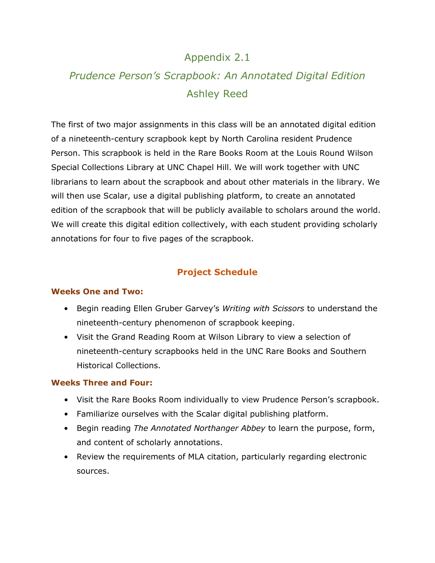# Appendix 2.1

# *Prudence Person's Scrapbook: An Annotated Digital Edition* Ashley Reed

The first of two major assignments in this class will be an annotated digital edition of a nineteenth-century scrapbook kept by North Carolina resident Prudence Person. This scrapbook is held in the Rare Books Room at the Louis Round Wilson Special Collections Library at UNC Chapel Hill. We will work together with UNC librarians to learn about the scrapbook and about other materials in the library. We will then use Scalar, use a digital publishing platform, to create an annotated edition of the scrapbook that will be publicly available to scholars around the world. We will create this digital edition collectively, with each student providing scholarly annotations for four to five pages of the scrapbook.

# **Project Schedule**

#### **Weeks One and Two:**

- Begin reading Ellen Gruber Garvey's *Writing with Scissors* to understand the nineteenth-century phenomenon of scrapbook keeping.
- Visit the Grand Reading Room at Wilson Library to view a selection of nineteenth-century scrapbooks held in the UNC Rare Books and Southern Historical Collections.

#### **Weeks Three and Four:**

- Visit the Rare Books Room individually to view Prudence Person's scrapbook.
- Familiarize ourselves with the Scalar digital publishing platform.
- Begin reading *The Annotated Northanger Abbey* to learn the purpose, form, and content of scholarly annotations.
- Review the requirements of MLA citation, particularly regarding electronic sources.